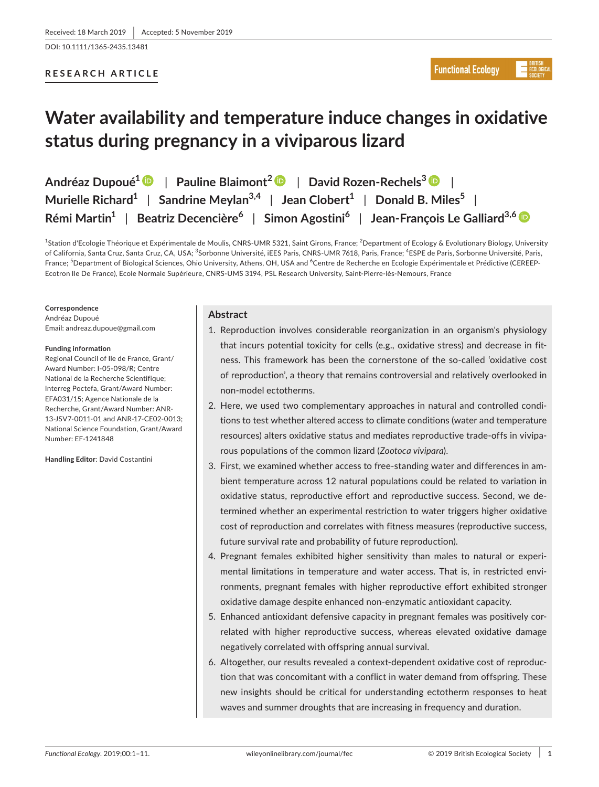DOI: 10.1111/1365-2435.13481

# **RESEARCH ARTICLE**

# **Water availability and temperature induce changes in oxidative status during pregnancy in a viviparous lizard**

| Andréaz Dupoué <sup>1</sup> D   Pauline Blaimont <sup>2</sup> D   David Rozen-Rechels <sup>3</sup> D                                |
|-------------------------------------------------------------------------------------------------------------------------------------|
| Murielle Richard <sup>1</sup>   Sandrine Meylan <sup>3,4</sup>   Jean Clobert <sup>1</sup>   Donald B. Miles <sup>5</sup>           |
| Rémi Martin <sup>1</sup>   Beatriz Decencière <sup>6</sup>   Simon Agostini <sup>6</sup>   Jean-François Le Galliard <sup>3,6</sup> |

<sup>1</sup>Station d'Ecologie Théorique et Expérimentale de Moulis, CNRS-UMR 5321, Saint Girons, France; <sup>2</sup>Department of Ecology & Evolutionary Biology, University of California, Santa Cruz, Santa Cruz, CA, USA; <sup>3</sup>Sorbonne Université, iEES Paris, CNRS-UMR 7618, Paris, France; <sup>4</sup>ESPE de Paris, Sorbonne Université, Paris, France; <sup>5</sup>Department of Biological Sciences, Ohio University, Athens, OH, USA and <sup>6</sup>Centre de Recherche en Ecologie Expérimentale et Prédictive (CEREEP-Ecotron Ile De France), Ecole Normale Supérieure, CNRS-UMS 3194, PSL Research University, Saint-Pierre-lès-Nemours, France

#### **Correspondence**

Andréaz Dupoué Email: [andreaz.dupoue@gmail.com](mailto:andreaz.dupoue@gmail.com)

#### **Funding information**

Regional Council of Ile de France, Grant/ Award Number: I-05-098/R; Centre National de la Recherche Scientifique; Interreg Poctefa, Grant/Award Number: EFA031/15; Agence Nationale de la Recherche, Grant/Award Number: ANR-13-JSV7-0011-01 and ANR-17-CE02-0013; National Science Foundation, Grant/Award Number: EF-1241848

#### **Handling Editor**: David Costantini

## **Abstract**

- 1. Reproduction involves considerable reorganization in an organism's physiology that incurs potential toxicity for cells (e.g., oxidative stress) and decrease in fitness. This framework has been the cornerstone of the so-called 'oxidative cost of reproduction', a theory that remains controversial and relatively overlooked in non-model ectotherms.
- 2. Here, we used two complementary approaches in natural and controlled conditions to test whether altered access to climate conditions (water and temperature resources) alters oxidative status and mediates reproductive trade-offs in viviparous populations of the common lizard (*Zootoca vivipara*).
- 3. First, we examined whether access to free-standing water and differences in ambient temperature across 12 natural populations could be related to variation in oxidative status, reproductive effort and reproductive success. Second, we determined whether an experimental restriction to water triggers higher oxidative cost of reproduction and correlates with fitness measures (reproductive success, future survival rate and probability of future reproduction).
- 4. Pregnant females exhibited higher sensitivity than males to natural or experimental limitations in temperature and water access. That is, in restricted environments, pregnant females with higher reproductive effort exhibited stronger oxidative damage despite enhanced non-enzymatic antioxidant capacity.
- 5. Enhanced antioxidant defensive capacity in pregnant females was positively correlated with higher reproductive success, whereas elevated oxidative damage negatively correlated with offspring annual survival.
- 6. Altogether, our results revealed a context-dependent oxidative cost of reproduction that was concomitant with a conflict in water demand from offspring. These new insights should be critical for understanding ectotherm responses to heat waves and summer droughts that are increasing in frequency and duration.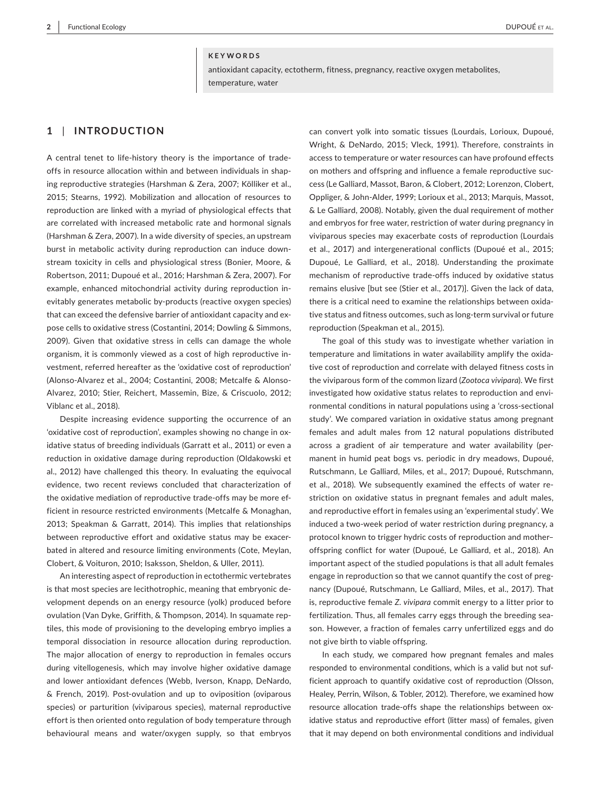#### **KEYWORDS**

antioxidant capacity, ectotherm, fitness, pregnancy, reactive oxygen metabolites, temperature, water

# **1** | **INTRODUCTION**

A central tenet to life-history theory is the importance of tradeoffs in resource allocation within and between individuals in shaping reproductive strategies (Harshman & Zera, 2007; Kölliker et al., 2015; Stearns, 1992). Mobilization and allocation of resources to reproduction are linked with a myriad of physiological effects that are correlated with increased metabolic rate and hormonal signals (Harshman & Zera, 2007). In a wide diversity of species, an upstream burst in metabolic activity during reproduction can induce downstream toxicity in cells and physiological stress (Bonier, Moore, & Robertson, 2011; Dupoué et al., 2016; Harshman & Zera, 2007). For example, enhanced mitochondrial activity during reproduction inevitably generates metabolic by-products (reactive oxygen species) that can exceed the defensive barrier of antioxidant capacity and expose cells to oxidative stress (Costantini, 2014; Dowling & Simmons, 2009). Given that oxidative stress in cells can damage the whole organism, it is commonly viewed as a cost of high reproductive investment, referred hereafter as the 'oxidative cost of reproduction' (Alonso-Alvarez et al., 2004; Costantini, 2008; Metcalfe & Alonso-Alvarez, 2010; Stier, Reichert, Massemin, Bize, & Criscuolo, 2012; Viblanc et al., 2018).

Despite increasing evidence supporting the occurrence of an 'oxidative cost of reproduction', examples showing no change in oxidative status of breeding individuals (Garratt et al., 2011) or even a reduction in oxidative damage during reproduction (Oldakowski et al., 2012) have challenged this theory. In evaluating the equivocal evidence, two recent reviews concluded that characterization of the oxidative mediation of reproductive trade-offs may be more efficient in resource restricted environments (Metcalfe & Monaghan, 2013; Speakman & Garratt, 2014). This implies that relationships between reproductive effort and oxidative status may be exacerbated in altered and resource limiting environments (Cote, Meylan, Clobert, & Voituron, 2010; Isaksson, Sheldon, & Uller, 2011).

An interesting aspect of reproduction in ectothermic vertebrates is that most species are lecithotrophic, meaning that embryonic development depends on an energy resource (yolk) produced before ovulation (Van Dyke, Griffith, & Thompson, 2014). In squamate reptiles, this mode of provisioning to the developing embryo implies a temporal dissociation in resource allocation during reproduction. The major allocation of energy to reproduction in females occurs during vitellogenesis, which may involve higher oxidative damage and lower antioxidant defences (Webb, Iverson, Knapp, DeNardo, & French, 2019). Post-ovulation and up to oviposition (oviparous species) or parturition (viviparous species), maternal reproductive effort is then oriented onto regulation of body temperature through behavioural means and water/oxygen supply, so that embryos

can convert yolk into somatic tissues (Lourdais, Lorioux, Dupoué, Wright, & DeNardo, 2015; Vleck, 1991). Therefore, constraints in access to temperature or water resources can have profound effects on mothers and offspring and influence a female reproductive success (Le Galliard, Massot, Baron, & Clobert, 2012; Lorenzon, Clobert, Oppliger, & John-Alder, 1999; Lorioux et al., 2013; Marquis, Massot, & Le Galliard, 2008). Notably, given the dual requirement of mother and embryos for free water, restriction of water during pregnancy in viviparous species may exacerbate costs of reproduction (Lourdais et al., 2017) and intergenerational conflicts (Dupoué et al., 2015; Dupoué, Le Galliard, et al., 2018). Understanding the proximate mechanism of reproductive trade-offs induced by oxidative status remains elusive [but see (Stier et al., 2017)]. Given the lack of data, there is a critical need to examine the relationships between oxidative status and fitness outcomes, such as long-term survival or future reproduction (Speakman et al., 2015).

The goal of this study was to investigate whether variation in temperature and limitations in water availability amplify the oxidative cost of reproduction and correlate with delayed fitness costs in the viviparous form of the common lizard (*Zootoca vivipara*). We first investigated how oxidative status relates to reproduction and environmental conditions in natural populations using a 'cross-sectional study'. We compared variation in oxidative status among pregnant females and adult males from 12 natural populations distributed across a gradient of air temperature and water availability (permanent in humid peat bogs vs. periodic in dry meadows, Dupoué, Rutschmann, Le Galliard, Miles, et al., 2017; Dupoué, Rutschmann, et al., 2018). We subsequently examined the effects of water restriction on oxidative status in pregnant females and adult males, and reproductive effort in females using an 'experimental study'. We induced a two-week period of water restriction during pregnancy, a protocol known to trigger hydric costs of reproduction and mother– offspring conflict for water (Dupoué, Le Galliard, et al., 2018). An important aspect of the studied populations is that all adult females engage in reproduction so that we cannot quantify the cost of pregnancy (Dupoué, Rutschmann, Le Galliard, Miles, et al., 2017). That is, reproductive female *Z. vivipara* commit energy to a litter prior to fertilization. Thus, all females carry eggs through the breeding season. However, a fraction of females carry unfertilized eggs and do not give birth to viable offspring.

In each study, we compared how pregnant females and males responded to environmental conditions, which is a valid but not sufficient approach to quantify oxidative cost of reproduction (Olsson, Healey, Perrin, Wilson, & Tobler, 2012). Therefore, we examined how resource allocation trade-offs shape the relationships between oxidative status and reproductive effort (litter mass) of females, given that it may depend on both environmental conditions and individual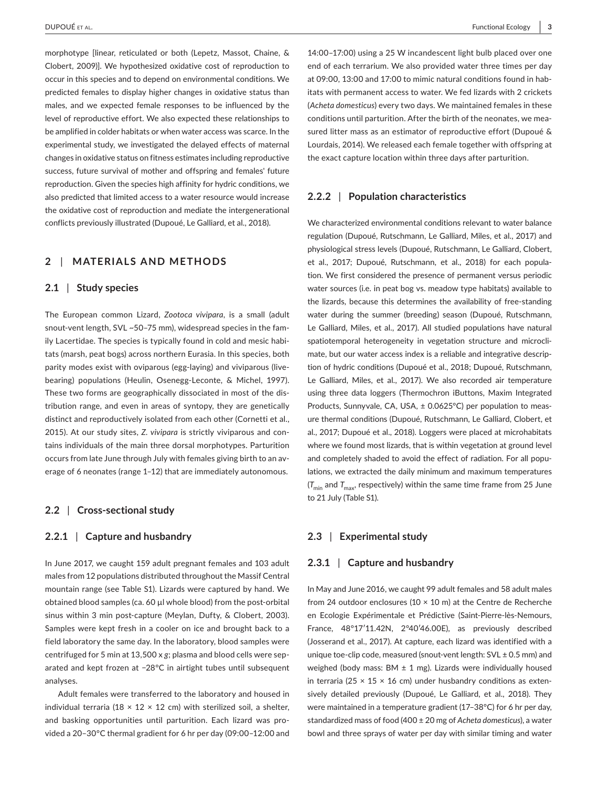morphotype [linear, reticulated or both (Lepetz, Massot, Chaine, & Clobert, 2009)]. We hypothesized oxidative cost of reproduction to occur in this species and to depend on environmental conditions. We predicted females to display higher changes in oxidative status than males, and we expected female responses to be influenced by the level of reproductive effort. We also expected these relationships to be amplified in colder habitats or when water access was scarce. In the experimental study, we investigated the delayed effects of maternal changes in oxidative status on fitness estimates including reproductive success, future survival of mother and offspring and females' future reproduction. Given the species high affinity for hydric conditions, we also predicted that limited access to a water resource would increase the oxidative cost of reproduction and mediate the intergenerational conflicts previously illustrated (Dupoué, Le Galliard, et al., 2018).

# **2** | **MATERIALS AND METHODS**

#### **2.1** | **Study species**

The European common Lizard, *Zootoca vivipara*, is a small (adult snout-vent length, SVL ~50–75 mm), widespread species in the family Lacertidae. The species is typically found in cold and mesic habitats (marsh, peat bogs) across northern Eurasia. In this species, both parity modes exist with oviparous (egg-laying) and viviparous (livebearing) populations (Heulin, Osenegg-Leconte, & Michel, 1997). These two forms are geographically dissociated in most of the distribution range, and even in areas of syntopy, they are genetically distinct and reproductively isolated from each other (Cornetti et al., 2015). At our study sites, *Z. vivipara* is strictly viviparous and contains individuals of the main three dorsal morphotypes. Parturition occurs from late June through July with females giving birth to an average of 6 neonates (range 1–12) that are immediately autonomous.

#### **2.2** | **Cross-sectional study**

#### **2.2.1** | **Capture and husbandry**

In June 2017, we caught 159 adult pregnant females and 103 adult males from 12 populations distributed throughout the Massif Central mountain range (see Table S1). Lizards were captured by hand. We obtained blood samples (ca. 60 µl whole blood) from the post-orbital sinus within 3 min post-capture (Meylan, Dufty, & Clobert, 2003). Samples were kept fresh in a cooler on ice and brought back to a field laboratory the same day. In the laboratory, blood samples were centrifuged for 5 min at 13,500 x *g*; plasma and blood cells were separated and kept frozen at −28°C in airtight tubes until subsequent analyses.

Adult females were transferred to the laboratory and housed in individual terraria (18  $\times$  12  $\times$  12 cm) with sterilized soil, a shelter, and basking opportunities until parturition. Each lizard was provided a 20–30°C thermal gradient for 6 hr per day (09:00–12:00 and

14:00–17:00) using a 25 W incandescent light bulb placed over one end of each terrarium. We also provided water three times per day at 09:00, 13:00 and 17:00 to mimic natural conditions found in habitats with permanent access to water. We fed lizards with 2 crickets (*Acheta domesticus*) every two days. We maintained females in these conditions until parturition. After the birth of the neonates, we measured litter mass as an estimator of reproductive effort (Dupoué & Lourdais, 2014). We released each female together with offspring at the exact capture location within three days after parturition.

#### **2.2.2** | **Population characteristics**

We characterized environmental conditions relevant to water balance regulation (Dupoué, Rutschmann, Le Galliard, Miles, et al., 2017) and physiological stress levels (Dupoué, Rutschmann, Le Galliard, Clobert, et al., 2017; Dupoué, Rutschmann, et al., 2018) for each population. We first considered the presence of permanent versus periodic water sources (i.e. in peat bog vs. meadow type habitats) available to the lizards, because this determines the availability of free-standing water during the summer (breeding) season (Dupoué, Rutschmann, Le Galliard, Miles, et al., 2017). All studied populations have natural spatiotemporal heterogeneity in vegetation structure and microclimate, but our water access index is a reliable and integrative description of hydric conditions (Dupoué et al., 2018; Dupoué, Rutschmann, Le Galliard, Miles, et al., 2017). We also recorded air temperature using three data loggers (Thermochron iButtons, Maxim Integrated Products, Sunnyvale, CA, USA, ± 0.0625°C) per population to measure thermal conditions (Dupoué, Rutschmann, Le Galliard, Clobert, et al., 2017; Dupoué et al., 2018). Loggers were placed at microhabitats where we found most lizards, that is within vegetation at ground level and completely shaded to avoid the effect of radiation. For all populations, we extracted the daily minimum and maximum temperatures  $(T_{\min}$  and  $T_{\max}$ , respectively) within the same time frame from 25 June to 21 July (Table S1).

### **2.3** | **Experimental study**

## **2.3.1** | **Capture and husbandry**

In May and June 2016, we caught 99 adult females and 58 adult males from 24 outdoor enclosures (10  $\times$  10 m) at the Centre de Recherche en Ecologie Expérimentale et Prédictive (Saint-Pierre-lès-Nemours, France, 48°17′11.42N, 2°40′46.00E), as previously described (Josserand et al., 2017). At capture, each lizard was identified with a unique toe-clip code, measured (snout-vent length:  $SVL \pm 0.5$  mm) and weighed (body mass: BM  $\pm$  1 mg). Lizards were individually housed in terraria (25  $\times$  15  $\times$  16 cm) under husbandry conditions as extensively detailed previously (Dupoué, Le Galliard, et al., 2018). They were maintained in a temperature gradient (17–38°C) for 6 hr per day, standardized mass of food (400 ± 20 mg of *Acheta domesticus*), a water bowl and three sprays of water per day with similar timing and water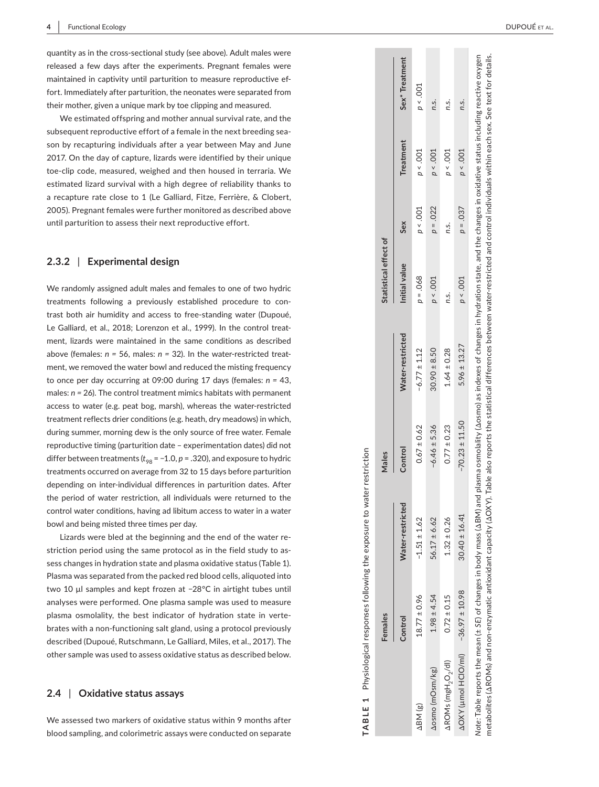quantity as in the cross-sectional study (see above). Adult males were released a few days after the experiments. Pregnant females were maintained in captivity until parturition to measure reproductive ef fort. Immediately after parturition, the neonates were separated from their mother, given a unique mark by toe clipping and measured.

We estimated offspring and mother annual survival rate, and the subsequent reproductive effort of a female in the next breeding sea son by recapturing individuals after a year between May and June 2017. On the day of capture, lizards were identified by their unique toe-clip code, measured, weighed and then housed in terraria. We estimated lizard survival with a high degree of reliability thanks to a recapture rate close to 1 (Le Galliard, Fitze, Ferrière, & Clobert, 2005). Pregnant females were further monitored as described above until parturition to assess their next reproductive effort.

#### **2.3.2**  | **Experimental design**

We randomly assigned adult males and females to one of two hydric treatments following a previously established procedure to con trast both air humidity and access to free-standing water (Dupoué, Le Galliard, et al., 2018; Lorenzon et al., 1999). In the control treat ment, lizards were maintained in the same conditions as described above (females: *n =* 56, males: *n =* 32). In the water-restricted treat ment, we removed the water bowl and reduced the misting frequency to once per day occurring at 09:00 during 17 days (females: *n =* 43, males: *n =* 26). The control treatment mimics habitats with permanent access to water (e.g. peat bog, marsh), whereas the water-restricted treatment reflects drier conditions (e.g. heath, dry meadows) in which, during summer, morning dew is the only source of free water. Female reproductive timing (parturition date – experimentation dates) did not differ between treatments ( $t_{98}$  = –1.0, *p* = .320), and exposure to hydric treatments occurred on average from 32 to 15 days before parturition depending on inter-individual differences in parturition dates. After the period of water restriction, all individuals were returned to the control water conditions, having ad libitum access to water in a water bowl and being misted three times per day.

Lizards were bled at the beginning and the end of the water re striction period using the same protocol as in the field study to as sess changes in hydration state and plasma oxidative status (Table 1). Plasma was separated from the packed red blood cells, aliquoted into two 10 µl samples and kept frozen at −28°C in airtight tubes until analyses were performed. One plasma sample was used to measure plasma osmolality, the best indicator of hydration state in verte brates with a non-functioning salt gland, using a protocol previously described (Dupoué, Rutschmann, Le Galliard, Miles, et al., 2017). The other sample was used to assess oxidative status as described below.

#### **2.4**  | **Oxidative status assays**

We assessed two markers of oxidative status within 9 months after blood sampling, and colorimetric assays were conducted on separate

|                                            | Control          | <b>Nater-restricted</b> | Control         | Vater-restricte  | nitial value | Sex                | <b>Treatment</b> | Sex <sup>*</sup> Treatmen |
|--------------------------------------------|------------------|-------------------------|-----------------|------------------|--------------|--------------------|------------------|---------------------------|
| ABM (g)                                    | $18.77 \pm 0.9c$ | $-1.51 \pm 1.62$        | $0.67 \pm 0.6$  | $-6.77 \pm 1.12$ | $0 - .068$   | 700.5 <sub>0</sub> | 90.504           | 9 < 0.001                 |
| <b>AOSMO</b> (mOsm/kg                      | $1.98 \pm 4.54$  | $6.17 \pm 6.62$         | $6.46 \pm 5.3$  | $30.90 \pm 8.50$ | 200.56       | $p = .022$         | 200.5c           | n.s.                      |
| AROMs (mgH <sub>2</sub> O <sub>2</sub> /dl | $7.72 \pm 0.1$   | $1.32 \pm 0.26$         | $7.77 \pm 0.22$ | $.64 \pm 0.28$   | n.s.         | n.s.               | p > 0.01         | n.s.                      |

**TABLE 1** Physiological responses following the exposure to water restriction

TABLE 1

Females

Physiological responses following the exposure to water restriction

**Females Males Statistical effect of**

Males

Statistical effect of

Note: Table reports the mean (± SE) of changes in body mass (ΔBM) and plasma osmolality (Δosmo) as indexes of changes in hydration state, and the changes in oxidative status including reactive oxygen *Note:* Table reports the mean (± *SE*) of changes in body mass (ΔBM) and plasma osmolality (Δosmo) as indexes of changes in hydration state, and the changes in oxidative status including reactive oxygen metabolites (AROMs) and non-enzymatic antioxidant capacity (AOXY). Table also reports the statistical differences between water-restricted and control individuals within each sex. See text for details. metabolites (ΔROMs) and non-enzymatic antioxidant capacity (ΔOXY). Table also reports the statistical differences between water-restricted and control individuals within each sex. See text for details.

ΔOXY (µmol HClO/ml) −36.97 ± 10.98 30.40 ± 16.41 −70.23 ± 11.50 5.96 ± 13.27 *p* < .001 *p* = .037 *p* < .001 *n*.s.

 $-70.23 \pm 11.50$ 

 $30.40 \pm 16.41$ 

 $-36.97 \pm 10.98$ 

**AOXY** (umol HClO/ml)

 $5.96 \pm 13.27$ 

n.s.

 $p < 0.001$ 

037  $\overline{p} =$ 

.001  $p \prec$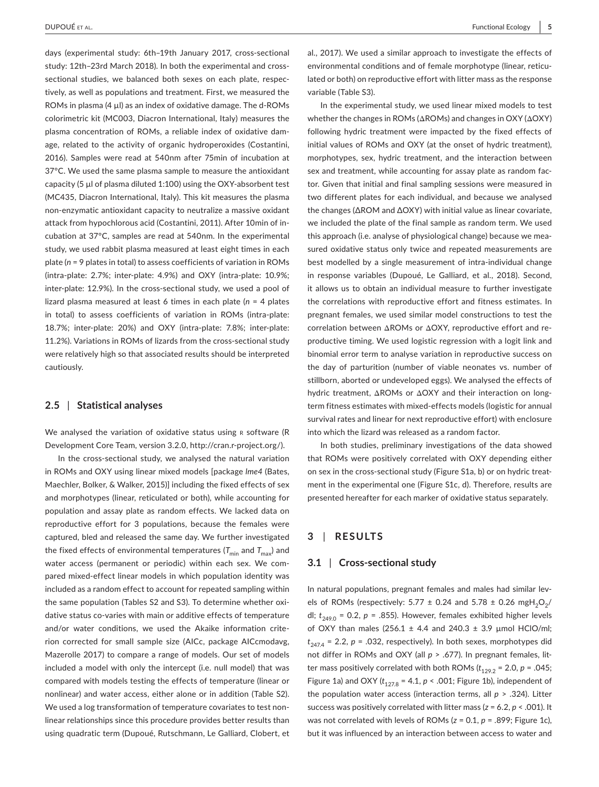days (experimental study: 6th–19th January 2017, cross-sectional study: 12th–23rd March 2018). In both the experimental and crosssectional studies, we balanced both sexes on each plate, respectively, as well as populations and treatment. First, we measured the ROMs in plasma (4 µl) as an index of oxidative damage. The d-ROMs colorimetric kit (MC003, Diacron International, Italy) measures the plasma concentration of ROMs, a reliable index of oxidative damage, related to the activity of organic hydroperoxides (Costantini, 2016). Samples were read at 540nm after 75min of incubation at 37°C. We used the same plasma sample to measure the antioxidant capacity (5 µl of plasma diluted 1:100) using the OXY-absorbent test (MC435, Diacron International, Italy). This kit measures the plasma non-enzymatic antioxidant capacity to neutralize a massive oxidant attack from hypochlorous acid (Costantini, 2011). After 10min of incubation at 37°C, samples are read at 540nm. In the experimental study, we used rabbit plasma measured at least eight times in each plate (*n* = 9 plates in total) to assess coefficients of variation in ROMs (intra-plate: 2.7%; inter-plate: 4.9%) and OXY (intra-plate: 10.9%; inter-plate: 12.9%). In the cross-sectional study, we used a pool of lizard plasma measured at least 6 times in each plate (*n* = 4 plates in total) to assess coefficients of variation in ROMs (intra-plate: 18.7%; inter-plate: 20%) and OXY (intra-plate: 7.8%; inter-plate: 11.2%). Variations in ROMs of lizards from the cross-sectional study were relatively high so that associated results should be interpreted cautiously.

#### **2.5** | **Statistical analyses**

We analysed the variation of oxidative status using R software (R Development Core Team, version 3.2.0,<http://cran.r-project.org/>).

In the cross-sectional study, we analysed the natural variation in ROMs and OXY using linear mixed models [package *lme4* (Bates, Maechler, Bolker, & Walker, 2015)] including the fixed effects of sex and morphotypes (linear, reticulated or both), while accounting for population and assay plate as random effects. We lacked data on reproductive effort for 3 populations, because the females were captured, bled and released the same day. We further investigated the fixed effects of environmental temperatures ( $T_{\text{min}}$  and  $T_{\text{max}}$ ) and water access (permanent or periodic) within each sex. We compared mixed-effect linear models in which population identity was included as a random effect to account for repeated sampling within the same population (Tables S2 and S3). To determine whether oxidative status co-varies with main or additive effects of temperature and/or water conditions, we used the Akaike information criterion corrected for small sample size (AICc, package AICcmodavg, Mazerolle 2017) to compare a range of models. Our set of models included a model with only the intercept (i.e. null model) that was compared with models testing the effects of temperature (linear or nonlinear) and water access, either alone or in addition (Table S2). We used a log transformation of temperature covariates to test nonlinear relationships since this procedure provides better results than using quadratic term (Dupoué, Rutschmann, Le Galliard, Clobert, et al., 2017). We used a similar approach to investigate the effects of environmental conditions and of female morphotype (linear, reticulated or both) on reproductive effort with litter mass as the response variable (Table S3).

In the experimental study, we used linear mixed models to test whether the changes in ROMs (ΔROMs) and changes in OXY (ΔOXY) following hydric treatment were impacted by the fixed effects of initial values of ROMs and OXY (at the onset of hydric treatment), morphotypes, sex, hydric treatment, and the interaction between sex and treatment, while accounting for assay plate as random factor. Given that initial and final sampling sessions were measured in two different plates for each individual, and because we analysed the changes (∆ROM and ∆OXY) with initial value as linear covariate, we included the plate of the final sample as random term. We used this approach (i.e. analyse of physiological change) because we measured oxidative status only twice and repeated measurements are best modelled by a single measurement of intra-individual change in response variables (Dupoué, Le Galliard, et al., 2018). Second, it allows us to obtain an individual measure to further investigate the correlations with reproductive effort and fitness estimates. In pregnant females, we used similar model constructions to test the correlation between ΔROMs or ΔOXY, reproductive effort and reproductive timing. We used logistic regression with a logit link and binomial error term to analyse variation in reproductive success on the day of parturition (number of viable neonates vs. number of stillborn, aborted or undeveloped eggs). We analysed the effects of hydric treatment, ΔROMs or ΔOXY and their interaction on longterm fitness estimates with mixed-effects models (logistic for annual survival rates and linear for next reproductive effort) with enclosure into which the lizard was released as a random factor.

In both studies, preliminary investigations of the data showed that ROMs were positively correlated with OXY depending either on sex in the cross-sectional study (Figure S1a, b) or on hydric treatment in the experimental one (Figure S1c, d). Therefore, results are presented hereafter for each marker of oxidative status separately.

# **3** | **RESULTS**

#### **3.1** | **Cross-sectional study**

In natural populations, pregnant females and males had similar levels of ROMs (respectively: 5.77  $\pm$  0.24 and 5.78  $\pm$  0.26 mgH<sub>2</sub>O<sub>2</sub>/ dl;  $t_{2490}$  = 0.2,  $p$  = .855). However, females exhibited higher levels of OXY than males (256.1  $\pm$  4.4 and 240.3  $\pm$  3.9 µmol HClO/ml;  $t_{247.4}$  = 2.2,  $p$  = .032, respectively). In both sexes, morphotypes did not differ in ROMs and OXY (all *p* > .677). In pregnant females, litter mass positively correlated with both ROMs  $(t_{129.2} = 2.0, p = .045;$ Figure 1a) and OXY ( $t_{127.8}$  = 4.1,  $p < .001$ ; Figure 1b), independent of the population water access (interaction terms, all *p* > .324). Litter success was positively correlated with litter mass (*z* = 6.2, *p* < .001). It was not correlated with levels of ROMs (*z* = 0.1, *p* = .899; Figure 1c), but it was influenced by an interaction between access to water and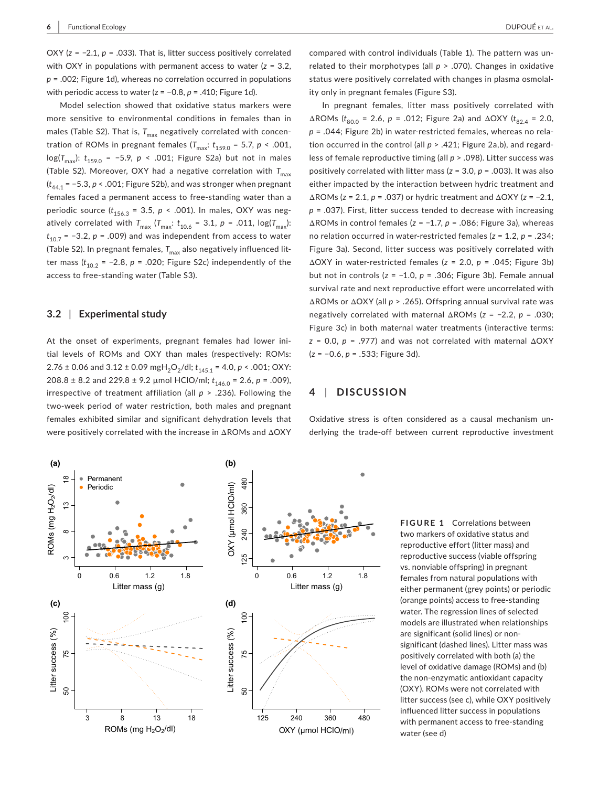OXY (*z* = −2.1, *p* = .033). That is, litter success positively correlated with OXY in populations with permanent access to water (*z* = 3.2, *p* = .002; Figure 1d), whereas no correlation occurred in populations with periodic access to water (z = −0.8, *p* = .410; Figure 1d).

Model selection showed that oxidative status markers were more sensitive to environmental conditions in females than in males (Table S2). That is,  $T_{\text{max}}$  negatively correlated with concentration of ROMs in pregnant females  $(T_{\text{max}}: t_{159.0} = 5.7, p < .001,$ log(*T<sub>max</sub>*): *t*<sub>159.0</sub> = −5.9, *p* < .001; Figure S2a) but not in males (Table S2). Moreover, OXY had a negative correlation with  $T_{\text{max}}$ (*t*44.1 = −5.3, *p* < .001; Figure S2b), and was stronger when pregnant females faced a permanent access to free-standing water than a periodic source  $(t_{156.3} = 3.5, p \times .001)$ . In males, OXY was negatively correlated with  $T_{\text{max}}$  ( $T_{\text{max}}$ :  $t_{10.6}$  = 3.1,  $p = .011$ ,  $\log(T_{\text{max}})$ :  $t_{10.7}$  = -3.2, *p* = .009) and was independent from access to water (Table S2). In pregnant females, T<sub>max</sub> also negatively influenced litter mass  $(t_{10.2} = -2.8, p = .020;$  Figure S2c) independently of the access to free-standing water (Table S3).

#### **3.2** | **Experimental study**

At the onset of experiments, pregnant females had lower initial levels of ROMs and OXY than males (respectively: ROMs: 2.76 ± 0.06 and 3.12 ± 0.09 mgH<sub>2</sub>O<sub>2</sub>/dl;  $t_{145.1}$  = 4.0,  $p$  < .001; OXY: 208.8 ± 8.2 and 229.8 ± 9.2 µmol HClO/ml;  $t_{146.0} = 2.6$ ,  $p = .009$ ), irrespective of treatment affiliation (all *p* > .236). Following the two-week period of water restriction, both males and pregnant females exhibited similar and significant dehydration levels that were positively correlated with the increase in ΔROMs and ΔOXY

compared with control individuals (Table 1). The pattern was unrelated to their morphotypes (all *p* > .070). Changes in oxidative status were positively correlated with changes in plasma osmolality only in pregnant females (Figure S3).

In pregnant females, litter mass positively correlated with  $ΔROMs$  ( $t_{80.0}$  = 2.6, *p* = .012; Figure 2a) and  $ΔOXY$  ( $t_{82.4}$  = 2.0, *p* = .044; Figure 2b) in water-restricted females, whereas no relation occurred in the control (all  $p > .421$ ; Figure 2a,b), and regardless of female reproductive timing (all *p* > .098). Litter success was positively correlated with litter mass (*z* = 3.0, *p* = .003). It was also either impacted by the interaction between hydric treatment and ΔROMs (*z* = 2.1, *p* = .037) or hydric treatment and ΔOXY (*z* = −2.1, *p* = .037). First, litter success tended to decrease with increasing ΔROMs in control females (*z* = −1.7, *p* = .086; Figure 3a), whereas no relation occurred in water-restricted females (*z* = 1.2, *p* = .234; Figure 3a). Second, litter success was positively correlated with ΔOXY in water-restricted females (*z* = 2.0, *p* = .045; Figure 3b) but not in controls (*z* = −1.0, *p* = .306; Figure 3b). Female annual survival rate and next reproductive effort were uncorrelated with ΔROMs or ΔOXY (all *p* > .265). Offspring annual survival rate was negatively correlated with maternal ΔROMs (*z* = −2.2, *p* = .030; Figure 3c) in both maternal water treatments (interactive terms: *z* = 0.0, *p* = .977) and was not correlated with maternal ΔOXY (*z* = −0.6, *p* = .533; Figure 3d).

#### **4** | **DISCUSSION**

Oxidative stress is often considered as a causal mechanism underlying the trade-off between current reproductive investment



**FIGURE 1** Correlations between two markers of oxidative status and reproductive effort (litter mass) and reproductive success (viable offspring vs. nonviable offspring) in pregnant females from natural populations with either permanent (grey points) or periodic (orange points) access to free-standing water. The regression lines of selected models are illustrated when relationships are significant (solid lines) or nonsignificant (dashed lines). Litter mass was positively correlated with both (a) the level of oxidative damage (ROMs) and (b) the non-enzymatic antioxidant capacity (OXY). ROMs were not correlated with litter success (see c), while OXY positively influenced litter success in populations with permanent access to free-standing water (see d)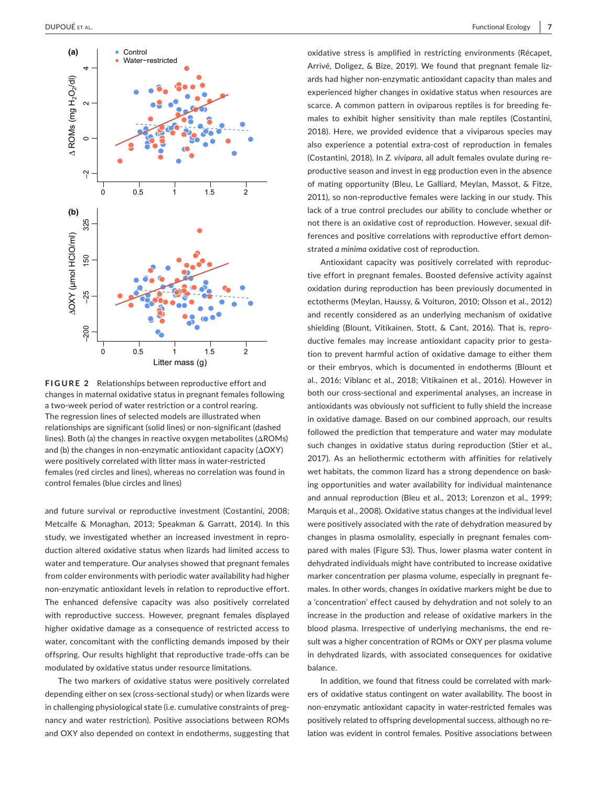

**FIGURE 2** Relationships between reproductive effort and changes in maternal oxidative status in pregnant females following a two-week period of water restriction or a control rearing. The regression lines of selected models are illustrated when relationships are significant (solid lines) or non-significant (dashed lines). Both (a) the changes in reactive oxygen metabolites (ΔROMs) and (b) the changes in non-enzymatic antioxidant capacity (ΔOXY) were positively correlated with litter mass in water-restricted females (red circles and lines), whereas no correlation was found in control females (blue circles and lines)

and future survival or reproductive investment (Costantini, 2008; Metcalfe & Monaghan, 2013; Speakman & Garratt, 2014). In this study, we investigated whether an increased investment in reproduction altered oxidative status when lizards had limited access to water and temperature. Our analyses showed that pregnant females from colder environments with periodic water availability had higher non-enzymatic antioxidant levels in relation to reproductive effort. The enhanced defensive capacity was also positively correlated with reproductive success. However, pregnant females displayed higher oxidative damage as a consequence of restricted access to water, concomitant with the conflicting demands imposed by their offspring. Our results highlight that reproductive trade-offs can be modulated by oxidative status under resource limitations.

The two markers of oxidative status were positively correlated depending either on sex (cross-sectional study) or when lizards were in challenging physiological state (i.e. cumulative constraints of pregnancy and water restriction). Positive associations between ROMs and OXY also depended on context in endotherms, suggesting that

oxidative stress is amplified in restricting environments (Récapet, Arrivé, Doligez, & Bize, 2019). We found that pregnant female lizards had higher non-enzymatic antioxidant capacity than males and experienced higher changes in oxidative status when resources are scarce. A common pattern in oviparous reptiles is for breeding females to exhibit higher sensitivity than male reptiles (Costantini, 2018). Here, we provided evidence that a viviparous species may also experience a potential extra-cost of reproduction in females (Costantini, 2018). In *Z. vivipara*, all adult females ovulate during reproductive season and invest in egg production even in the absence of mating opportunity (Bleu, Le Galliard, Meylan, Massot, & Fitze, 2011), so non-reproductive females were lacking in our study. This lack of a true control precludes our ability to conclude whether or not there is an oxidative cost of reproduction. However, sexual differences and positive correlations with reproductive effort demonstrated *a minima* oxidative cost of reproduction.

Antioxidant capacity was positively correlated with reproductive effort in pregnant females. Boosted defensive activity against oxidation during reproduction has been previously documented in ectotherms (Meylan, Haussy, & Voituron, 2010; Olsson et al., 2012) and recently considered as an underlying mechanism of oxidative shielding (Blount, Vitikainen, Stott, & Cant, 2016). That is, reproductive females may increase antioxidant capacity prior to gestation to prevent harmful action of oxidative damage to either them or their embryos, which is documented in endotherms (Blount et al., 2016; Viblanc et al., 2018; Vitikainen et al., 2016). However in both our cross-sectional and experimental analyses, an increase in antioxidants was obviously not sufficient to fully shield the increase in oxidative damage. Based on our combined approach, our results followed the prediction that temperature and water may modulate such changes in oxidative status during reproduction (Stier et al., 2017). As an heliothermic ectotherm with affinities for relatively wet habitats, the common lizard has a strong dependence on basking opportunities and water availability for individual maintenance and annual reproduction (Bleu et al., 2013; Lorenzon et al., 1999; Marquis et al., 2008). Oxidative status changes at the individual level were positively associated with the rate of dehydration measured by changes in plasma osmolality, especially in pregnant females compared with males (Figure S3). Thus, lower plasma water content in dehydrated individuals might have contributed to increase oxidative marker concentration per plasma volume, especially in pregnant females. In other words, changes in oxidative markers might be due to a 'concentration' effect caused by dehydration and not solely to an increase in the production and release of oxidative markers in the blood plasma. Irrespective of underlying mechanisms, the end result was a higher concentration of ROMs or OXY per plasma volume in dehydrated lizards, with associated consequences for oxidative balance.

In addition, we found that fitness could be correlated with markers of oxidative status contingent on water availability. The boost in non-enzymatic antioxidant capacity in water-restricted females was positively related to offspring developmental success, although no relation was evident in control females. Positive associations between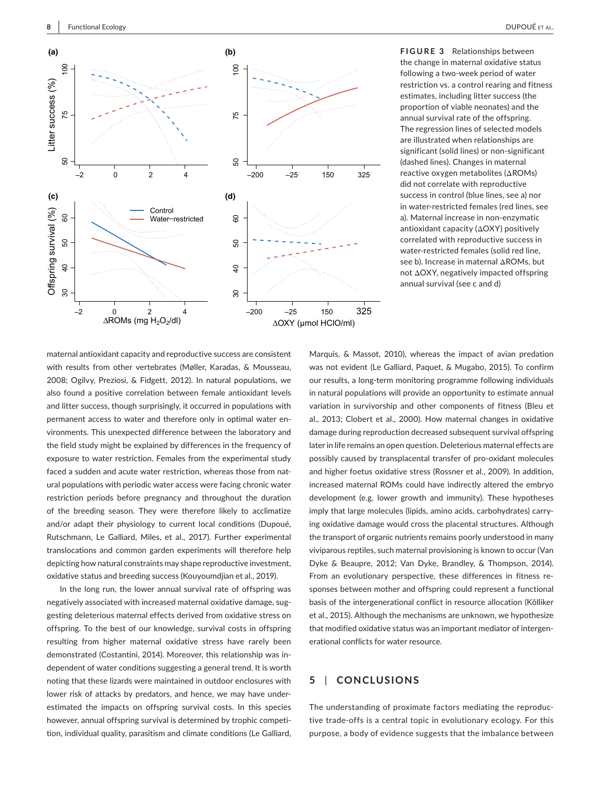

**FIGURE 3** Relationships between the change in maternal oxidative status following a two-week period of water restriction vs. a control rearing and fitness estimates, including litter success (the proportion of viable neonates) and the annual survival rate of the offspring. The regression lines of selected models are illustrated when relationships are significant (solid lines) or non-significant (dashed lines). Changes in maternal reactive oxygen metabolites (ΔROMs) did not correlate with reproductive success in control (blue lines, see a) nor in water-restricted females (red lines, see a). Maternal increase in non-enzymatic antioxidant capacity (ΔOXY) positively correlated with reproductive success in water-restricted females (solid red line, see b). Increase in maternal ΔROMs, but not ΔOXY, negatively impacted offspring annual survival (see c and d)

maternal antioxidant capacity and reproductive success are consistent with results from other vertebrates (Møller, Karadas, & Mousseau, 2008; Ogilvy, Preziosi, & Fidgett, 2012). In natural populations, we also found a positive correlation between female antioxidant levels and litter success, though surprisingly, it occurred in populations with permanent access to water and therefore only in optimal water environments. This unexpected difference between the laboratory and the field study might be explained by differences in the frequency of exposure to water restriction. Females from the experimental study faced a sudden and acute water restriction, whereas those from natural populations with periodic water access were facing chronic water restriction periods before pregnancy and throughout the duration of the breeding season. They were therefore likely to acclimatize and/or adapt their physiology to current local conditions (Dupoué, Rutschmann, Le Galliard, Miles, et al., 2017). Further experimental translocations and common garden experiments will therefore help depicting how natural constraints may shape reproductive investment, oxidative status and breeding success (Kouyoumdjian et al., 2019).

In the long run, the lower annual survival rate of offspring was negatively associated with increased maternal oxidative damage, suggesting deleterious maternal effects derived from oxidative stress on offspring. To the best of our knowledge, survival costs in offspring resulting from higher maternal oxidative stress have rarely been demonstrated (Costantini, 2014). Moreover, this relationship was independent of water conditions suggesting a general trend. It is worth noting that these lizards were maintained in outdoor enclosures with lower risk of attacks by predators, and hence, we may have underestimated the impacts on offspring survival costs. In this species however, annual offspring survival is determined by trophic competition, individual quality, parasitism and climate conditions (Le Galliard, Marquis, & Massot, 2010), whereas the impact of avian predation was not evident (Le Galliard, Paquet, & Mugabo, 2015). To confirm our results, a long-term monitoring programme following individuals in natural populations will provide an opportunity to estimate annual variation in survivorship and other components of fitness (Bleu et al., 2013; Clobert et al., 2000). How maternal changes in oxidative damage during reproduction decreased subsequent survival offspring later in life remains an open question. Deleterious maternal effects are possibly caused by transplacental transfer of pro-oxidant molecules and higher foetus oxidative stress (Rossner et al., 2009). In addition, increased maternal ROMs could have indirectly altered the embryo development (e.g. lower growth and immunity). These hypotheses imply that large molecules (lipids, amino acids, carbohydrates) carrying oxidative damage would cross the placental structures. Although the transport of organic nutrients remains poorly understood in many viviparous reptiles, such maternal provisioning is known to occur (Van Dyke & Beaupre, 2012; Van Dyke, Brandley, & Thompson, 2014). From an evolutionary perspective, these differences in fitness responses between mother and offspring could represent a functional basis of the intergenerational conflict in resource allocation (Kölliker et al., 2015). Although the mechanisms are unknown, we hypothesize that modified oxidative status was an important mediator of intergenerational conflicts for water resource.

# **5** | **CONCLUSIONS**

The understanding of proximate factors mediating the reproductive trade-offs is a central topic in evolutionary ecology. For this purpose, a body of evidence suggests that the imbalance between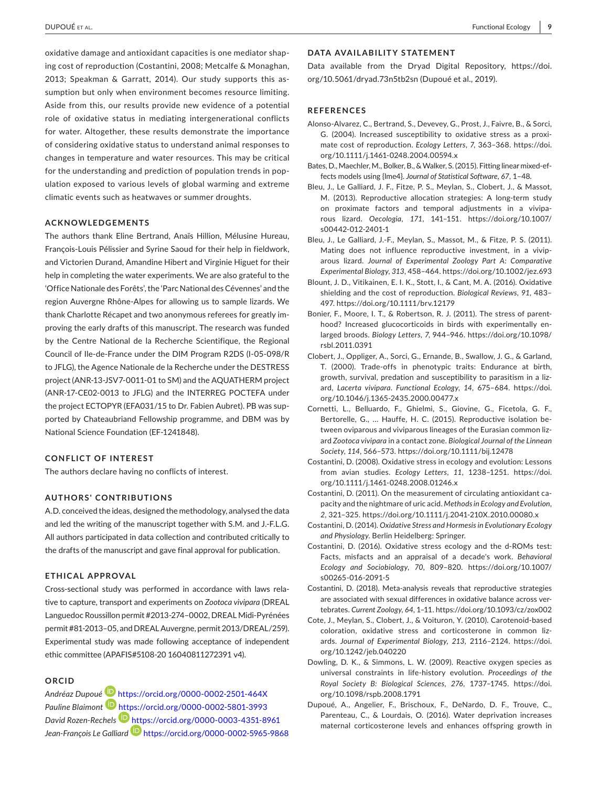oxidative damage and antioxidant capacities is one mediator shaping cost of reproduction (Costantini, 2008; Metcalfe & Monaghan, 2013; Speakman & Garratt, 2014). Our study supports this assumption but only when environment becomes resource limiting. Aside from this, our results provide new evidence of a potential role of oxidative status in mediating intergenerational conflicts for water. Altogether, these results demonstrate the importance of considering oxidative status to understand animal responses to changes in temperature and water resources. This may be critical for the understanding and prediction of population trends in population exposed to various levels of global warming and extreme climatic events such as heatwaves or summer droughts.

#### **ACKNOWLEDGEMENTS**

The authors thank Eline Bertrand, Anaïs Hillion, Mélusine Hureau, François-Louis Pélissier and Syrine Saoud for their help in fieldwork, and Victorien Durand, Amandine Hibert and Virginie Higuet for their help in completing the water experiments. We are also grateful to the 'Office Nationale des Forêts', the 'Parc National des Cévennes' and the region Auvergne Rhône-Alpes for allowing us to sample lizards. We thank Charlotte Récapet and two anonymous referees for greatly improving the early drafts of this manuscript. The research was funded by the Centre National de la Recherche Scientifique, the Regional Council of Ile-de-France under the DIM Program R2DS (I-05-098/R to JFLG), the Agence Nationale de la Recherche under the DESTRESS project (ANR-13-JSV7-0011-01 to SM) and the AQUATHERM project (ANR-17-CE02-0013 to JFLG) and the INTERREG POCTEFA under the project ECTOPYR (EFA031/15 to Dr. Fabien Aubret). PB was supported by Chateaubriand Fellowship programme, and DBM was by National Science Foundation (EF-1241848).

#### **CONFLICT OF INTEREST**

The authors declare having no conflicts of interest.

#### **AUTHORS' CONTRIBUTIONS**

A.D. conceived the ideas, designed the methodology, analysed the data and led the writing of the manuscript together with S.M. and J.-F.L.G. All authors participated in data collection and contributed critically to the drafts of the manuscript and gave final approval for publication.

#### **ETHICAL APPROVAL**

Cross-sectional study was performed in accordance with laws relative to capture, transport and experiments on *Zootoca vivipara* (DREAL Languedoc Roussillon permit #2013-274–0002, DREAL Midi-Pyrénées permit #81-2013–05, and DREAL Auvergne, permit 2013/DREAL/259). Experimental study was made following acceptance of independent ethic committee (APAFIS#5108-20 16040811272391 v4).

#### **ORCID**

*Andréaz Dupoué* <https://orcid.org/0000-0002-2501-464X> *Pauline Blaimont* <https://orcid.org/0000-0002-5801-3993> *David Rozen-Rechels* <https://orcid.org/0000-0003-4351-8961> *Jean-François Le Galliard* <https://orcid.org/0000-0002-5965-9868>

### **DATA AVAILABILITY STATEMENT**

Data available from the Dryad Digital Repository, [https://doi.](https://doi.org/10.5061/dryad.73n5tb2sn) [org/10.5061/dryad.73n5tb2sn](https://doi.org/10.5061/dryad.73n5tb2sn) (Dupoué et al., 2019).

#### **REFERENCES**

- Alonso-Alvarez, C., Bertrand, S., Devevey, G., Prost, J., Faivre, B., & Sorci, G. (2004). Increased susceptibility to oxidative stress as a proximate cost of reproduction. *Ecology Letters*, *7*, 363–368. [https://doi.](https://doi.org/10.1111/j.1461-0248.2004.00594.x) [org/10.1111/j.1461-0248.2004.00594.x](https://doi.org/10.1111/j.1461-0248.2004.00594.x)
- Bates, D., Maechler, M., Bolker, B., & Walker, S. (2015). Fitting linear mixed-effects models using {lme4}. *Journal of Statistical Software*, *67*, 1–48.
- Bleu, J., Le Galliard, J. F., Fitze, P. S., Meylan, S., Clobert, J., & Massot, M. (2013). Reproductive allocation strategies: A long-term study on proximate factors and temporal adjustments in a viviparous lizard. *Oecologia*, *171*, 141–151. [https://doi.org/10.1007/](https://doi.org/10.1007/s00442-012-2401-1) [s00442-012-2401-1](https://doi.org/10.1007/s00442-012-2401-1)
- Bleu, J., Le Galliard, J.-F., Meylan, S., Massot, M., & Fitze, P. S. (2011). Mating does not influence reproductive investment, in a viviparous lizard. *Journal of Experimental Zoology Part A: Comparative Experimental Biology*, *313*, 458–464.<https://doi.org/10.1002/jez.693>
- Blount, J. D., Vitikainen, E. I. K., Stott, I., & Cant, M. A. (2016). Oxidative shielding and the cost of reproduction. *Biological Reviews*, *91*, 483– 497. <https://doi.org/10.1111/brv.12179>
- Bonier, F., Moore, I. T., & Robertson, R. J. (2011). The stress of parenthood? Increased glucocorticoids in birds with experimentally enlarged broods. *Biology Letters*, *7*, 944–946. [https://doi.org/10.1098/](https://doi.org/10.1098/rsbl.2011.0391) [rsbl.2011.0391](https://doi.org/10.1098/rsbl.2011.0391)
- Clobert, J., Oppliger, A., Sorci, G., Ernande, B., Swallow, J. G., & Garland, T. (2000). Trade-offs in phenotypic traits: Endurance at birth, growth, survival, predation and susceptibility to parasitism in a lizard, *Lacerta vivipara*. *Functional Ecology*, *14*, 675–684. [https://doi.](https://doi.org/10.1046/j.1365-2435.2000.00477.x) [org/10.1046/j.1365-2435.2000.00477.x](https://doi.org/10.1046/j.1365-2435.2000.00477.x)
- Cornetti, L., Belluardo, F., Ghielmi, S., Giovine, G., Ficetola, G. F., Bertorelle, G., … Hauffe, H. C. (2015). Reproductive isolation between oviparous and viviparous lineages of the Eurasian common lizard *Zootoca vivipara* in a contact zone. *Biological Journal of the Linnean Society*, *114*, 566–573. <https://doi.org/10.1111/bij.12478>
- Costantini, D. (2008). Oxidative stress in ecology and evolution: Lessons from avian studies. *Ecology Letters*, *11*, 1238–1251. [https://doi.](https://doi.org/10.1111/j.1461-0248.2008.01246.x) [org/10.1111/j.1461-0248.2008.01246.x](https://doi.org/10.1111/j.1461-0248.2008.01246.x)
- Costantini, D. (2011). On the measurement of circulating antioxidant capacity and the nightmare of uric acid. *Methods in Ecology and Evolution*, *2*, 321–325.<https://doi.org/10.1111/j.2041-210X.2010.00080.x>
- Costantini, D. (2014). *Oxidative Stress and Hormesis in Evolutionary Ecology and Physiology*. Berlin Heidelberg: Springer.
- Costantini, D. (2016). Oxidative stress ecology and the d-ROMs test: Facts, misfacts and an appraisal of a decade's work. *Behavioral Ecology and Sociobiology*, *70*, 809–820. [https://doi.org/10.1007/](https://doi.org/10.1007/s00265-016-2091-5) [s00265-016-2091-5](https://doi.org/10.1007/s00265-016-2091-5)
- Costantini, D. (2018). Meta-analysis reveals that reproductive strategies are associated with sexual differences in oxidative balance across vertebrates. *Current Zoology*, *64*, 1–11.<https://doi.org/10.1093/cz/zox002>
- Cote, J., Meylan, S., Clobert, J., & Voituron, Y. (2010). Carotenoid-based coloration, oxidative stress and corticosterone in common lizards. *Journal of Experimental Biology*, *213*, 2116–2124. [https://doi.](https://doi.org/10.1242/jeb.040220) [org/10.1242/jeb.040220](https://doi.org/10.1242/jeb.040220)
- Dowling, D. K., & Simmons, L. W. (2009). Reactive oxygen species as universal constraints in life-history evolution. *Proceedings of the Royal Society B: Biological Sciences*, *276*, 1737–1745. [https://doi.](https://doi.org/10.1098/rspb.2008.1791) [org/10.1098/rspb.2008.1791](https://doi.org/10.1098/rspb.2008.1791)
- Dupoué, A., Angelier, F., Brischoux, F., DeNardo, D. F., Trouve, C., Parenteau, C., & Lourdais, O. (2016). Water deprivation increases maternal corticosterone levels and enhances offspring growth in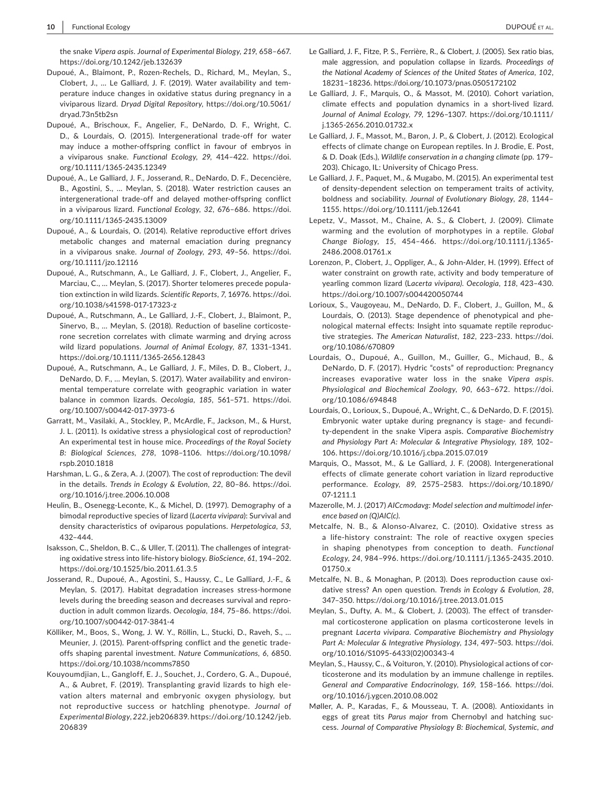the snake *Vipera aspis*. *Journal of Experimental Biology*, *219*, 658–667. <https://doi.org/10.1242/jeb.132639>

- Dupoué, A., Blaimont, P., Rozen-Rechels, D., Richard, M., Meylan, S., Clobert, J., … Le Galliard, J. F. (2019). Water availability and temperature induce changes in oxidative status during pregnancy in a viviparous lizard. *Dryad Digital Repository*, [https://doi.org/10.5061/](https://doi.org/10.5061/dryad.73n5tb2sn) [dryad.73n5tb2sn](https://doi.org/10.5061/dryad.73n5tb2sn)
- Dupoué, A., Brischoux, F., Angelier, F., DeNardo, D. F., Wright, C. D., & Lourdais, O. (2015). Intergenerational trade-off for water may induce a mother-offspring conflict in favour of embryos in a viviparous snake. *Functional Ecology*, *29*, 414–422. [https://doi.](https://doi.org/10.1111/1365-2435.12349) [org/10.1111/1365-2435.12349](https://doi.org/10.1111/1365-2435.12349)
- Dupoué, A., Le Galliard, J. F., Josserand, R., DeNardo, D. F., Decencière, B., Agostini, S., … Meylan, S. (2018). Water restriction causes an intergenerational trade-off and delayed mother-offspring conflict in a viviparous lizard. *Functional Ecology*, *32*, 676–686. [https://doi.](https://doi.org/10.1111/1365-2435.13009) [org/10.1111/1365-2435.13009](https://doi.org/10.1111/1365-2435.13009)
- Dupoué, A., & Lourdais, O. (2014). Relative reproductive effort drives metabolic changes and maternal emaciation during pregnancy in a viviparous snake. *Journal of Zoology*, *293*, 49–56. [https://doi.](https://doi.org/10.1111/jzo.12116) [org/10.1111/jzo.12116](https://doi.org/10.1111/jzo.12116)
- Dupoué, A., Rutschmann, A., Le Galliard, J. F., Clobert, J., Angelier, F., Marciau, C., … Meylan, S. (2017). Shorter telomeres precede population extinction in wild lizards. *Scientific Reports*, *7*, 16976. [https://doi.](https://doi.org/10.1038/s41598-017-17323-z) [org/10.1038/s41598-017-17323-z](https://doi.org/10.1038/s41598-017-17323-z)
- Dupoué, A., Rutschmann, A., Le Galliard, J.-F., Clobert, J., Blaimont, P., Sinervo, B., … Meylan, S. (2018). Reduction of baseline corticosterone secretion correlates with climate warming and drying across wild lizard populations. *Journal of Animal Ecology*, *87*, 1331–1341. <https://doi.org/10.1111/1365-2656.12843>
- Dupoué, A., Rutschmann, A., Le Galliard, J. F., Miles, D. B., Clobert, J., DeNardo, D. F., … Meylan, S. (2017). Water availability and environmental temperature correlate with geographic variation in water balance in common lizards. *Oecologia*, *185*, 561–571. [https://doi.](https://doi.org/10.1007/s00442-017-3973-6) [org/10.1007/s00442-017-3973-6](https://doi.org/10.1007/s00442-017-3973-6)
- Garratt, M., Vasilaki, A., Stockley, P., McArdle, F., Jackson, M., & Hurst, J. L. (2011). Is oxidative stress a physiological cost of reproduction? An experimental test in house mice. *Proceedings of the Royal Society B: Biological Sciences*, *278*, 1098–1106. [https://doi.org/10.1098/](https://doi.org/10.1098/rspb.2010.1818) [rspb.2010.1818](https://doi.org/10.1098/rspb.2010.1818)
- Harshman, L. G., & Zera, A. J. (2007). The cost of reproduction: The devil in the details. *Trends in Ecology & Evolution*, *22*, 80–86. [https://doi.](https://doi.org/10.1016/j.tree.2006.10.008) [org/10.1016/j.tree.2006.10.008](https://doi.org/10.1016/j.tree.2006.10.008)
- Heulin, B., Osenegg-Leconte, K., & Michel, D. (1997). Demography of a bimodal reproductive species of lizard (*Lacerta vivipara*): Survival and density characteristics of oviparous populations. *Herpetologica*, *53*, 432–444.
- Isaksson, C., Sheldon, B. C., & Uller, T. (2011). The challenges of integrating oxidative stress into life-history biology. *BioScience*, *61*, 194–202. <https://doi.org/10.1525/bio.2011.61.3.5>
- Josserand, R., Dupoué, A., Agostini, S., Haussy, C., Le Galliard, J.-F., & Meylan, S. (2017). Habitat degradation increases stress-hormone levels during the breeding season and decreases survival and reproduction in adult common lizards. *Oecologia*, *184*, 75–86. [https://doi.](https://doi.org/10.1007/s00442-017-3841-4) [org/10.1007/s00442-017-3841-4](https://doi.org/10.1007/s00442-017-3841-4)
- Kölliker, M., Boos, S., Wong, J. W. Y., Röllin, L., Stucki, D., Raveh, S., … Meunier, J. (2015). Parent-offspring conflict and the genetic tradeoffs shaping parental investment. *Nature Communications*, *6*, 6850. <https://doi.org/10.1038/ncomms7850>
- Kouyoumdjian, L., Gangloff, E. J., Souchet, J., Cordero, G. A., Dupoué, A., & Aubret, F. (2019). Transplanting gravid lizards to high elevation alters maternal and embryonic oxygen physiology, but not reproductive success or hatchling phenotype. *Journal of Experimental Biology*, *222*, jeb206839. [https://doi.org/10.1242/jeb.](https://doi.org/10.1242/jeb.206839) [206839](https://doi.org/10.1242/jeb.206839)
- Le Galliard, J. F., Fitze, P. S., Ferrière, R., & Clobert, J. (2005). Sex ratio bias, male aggression, and population collapse in lizards. *Proceedings of the National Academy of Sciences of the United States of America*, *102*, 18231–18236. <https://doi.org/10.1073/pnas.0505172102>
- Le Galliard, J. F., Marquis, O., & Massot, M. (2010). Cohort variation, climate effects and population dynamics in a short-lived lizard. *Journal of Animal Ecology*, *79*, 1296–1307. [https://doi.org/10.1111/](https://doi.org/10.1111/j.1365-2656.2010.01732.x) [j.1365-2656.2010.01732.x](https://doi.org/10.1111/j.1365-2656.2010.01732.x)
- Le Galliard, J. F., Massot, M., Baron, J. P., & Clobert, J. (2012). Ecological effects of climate change on European reptiles. In J. Brodie, E. Post, & D. Doak (Eds.), *Wildlife conservation in a changing climate* (pp. 179– 203). Chicago, IL: University of Chicago Press.
- Le Galliard, J. F., Paquet, M., & Mugabo, M. (2015). An experimental test of density-dependent selection on temperament traits of activity, boldness and sociability. *Journal of Evolutionary Biology*, *28*, 1144– 1155.<https://doi.org/10.1111/jeb.12641>
- Lepetz, V., Massot, M., Chaine, A. S., & Clobert, J. (2009). Climate warming and the evolution of morphotypes in a reptile. *Global Change Biology*, *15*, 454–466. [https://doi.org/10.1111/j.1365-](https://doi.org/10.1111/j.1365-2486.2008.01761.x) [2486.2008.01761.x](https://doi.org/10.1111/j.1365-2486.2008.01761.x)
- Lorenzon, P., Clobert, J., Oppliger, A., & John-Alder, H. (1999). Effect of water constraint on growth rate, activity and body temperature of yearling common lizard (L*acerta vivipara)*. *Oecologia*, *118*, 423–430. <https://doi.org/10.1007/s004420050744>
- Lorioux, S., Vaugoyeau, M., DeNardo, D. F., Clobert, J., Guillon, M., & Lourdais, O. (2013). Stage dependence of phenotypical and phenological maternal effects: Insight into squamate reptile reproductive strategies. *The American Naturalist*, *182*, 223–233. [https://doi.](https://doi.org/10.1086/670809) [org/10.1086/670809](https://doi.org/10.1086/670809)
- Lourdais, O., Dupoué, A., Guillon, M., Guiller, G., Michaud, B., & DeNardo, D. F. (2017). Hydric "costs" of reproduction: Pregnancy increases evaporative water loss in the snake *Vipera aspis*. *Physiological and Biochemical Zoology*, *90*, 663–672. [https://doi.](https://doi.org/10.1086/694848) [org/10.1086/694848](https://doi.org/10.1086/694848)
- Lourdais, O., Lorioux, S., Dupoué, A., Wright, C., & DeNardo, D. F. (2015). Embryonic water uptake during pregnancy is stage- and fecundity-dependent in the snake Vipera aspis. *Comparative Biochemistry and Physiology Part A: Molecular & Integrative Physiology*, *189*, 102– 106.<https://doi.org/10.1016/j.cbpa.2015.07.019>
- Marquis, O., Massot, M., & Le Galliard, J. F. (2008). Intergenerational effects of climate generate cohort variation in lizard reproductive performance. *Ecology*, *89*, 2575–2583. [https://doi.org/10.1890/](https://doi.org/10.1890/07-1211.1) [07-1211.1](https://doi.org/10.1890/07-1211.1)
- Mazerolle, M. J. (2017) *AICcmodavg: Model selection and multimodel inference based on (Q)AIC(c)*.
- Metcalfe, N. B., & Alonso-Alvarez, C. (2010). Oxidative stress as a life-history constraint: The role of reactive oxygen species in shaping phenotypes from conception to death. *Functional Ecology*, *24*, 984–996. [https://doi.org/10.1111/j.1365-2435.2010.](https://doi.org/10.1111/j.1365-2435.2010.01750.x) [01750.x](https://doi.org/10.1111/j.1365-2435.2010.01750.x)
- Metcalfe, N. B., & Monaghan, P. (2013). Does reproduction cause oxidative stress? An open question. *Trends in Ecology & Evolution*, *28*, 347–350.<https://doi.org/10.1016/j.tree.2013.01.015>
- Meylan, S., Dufty, A. M., & Clobert, J. (2003). The effect of transdermal corticosterone application on plasma corticosterone levels in pregnant *Lacerta vivipara*. *Comparative Biochemistry and Physiology Part A: Molecular & Integrative Physiology*, *134*, 497–503. [https://doi.](https://doi.org/10.1016/S1095-6433(02)00343-4) [org/10.1016/S1095-6433\(02\)00343-4](https://doi.org/10.1016/S1095-6433(02)00343-4)
- Meylan, S., Haussy, C., & Voituron, Y. (2010). Physiological actions of corticosterone and its modulation by an immune challenge in reptiles. *General and Comparative Endocrinology*, *169*, 158–166. [https://doi.](https://doi.org/10.1016/j.ygcen.2010.08.002) [org/10.1016/j.ygcen.2010.08.002](https://doi.org/10.1016/j.ygcen.2010.08.002)
- Møller, A. P., Karadas, F., & Mousseau, T. A. (2008). Antioxidants in eggs of great tits *Parus major* from Chernobyl and hatching success. *Journal of Comparative Physiology B: Biochemical, Systemic, and*